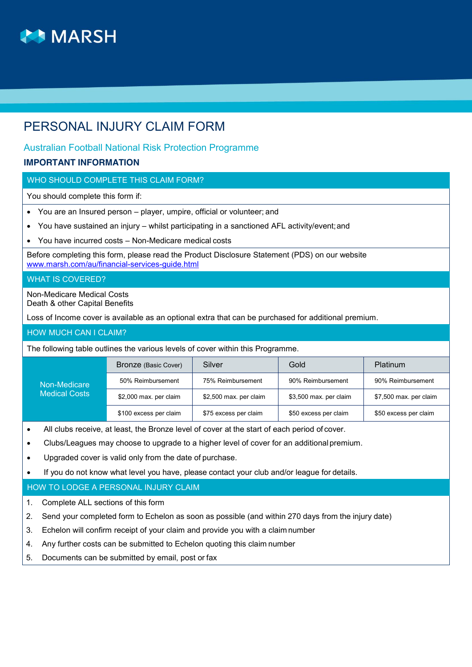

# PERSONAL INJURY CLAIM FORM

## Australian Football National Risk Protection Programme

### **IMPORTANT INFORMATION**

#### WHO SHOULD COMPLETE THIS CLAIM FORM?

You should complete this form if:

- You are an Insured person player, umpire, official or volunteer; and
- You have sustained an injury whilst participating in a sanctioned AFL activity/event; and
- You have incurred costs Non-Medicare medical costs

Before completing this form, please read the Product Disclosure Statement (PDS) on our website www.marsh.com/au/financial-services-guide.html

#### WHAT IS COVERED?

Non-Medicare Medical Costs Death & other Capital Benefits

Loss of Income cover is available as an optional extra that can be purchased for additional premium.

#### HOW MUCH CAN I CLAIM?

The following table outlines the various levels of cover within this Programme.

|                      | Bronze (Basic Cover)   | Silver                 | Gold                   | <b>Platinum</b>        |
|----------------------|------------------------|------------------------|------------------------|------------------------|
| Non-Medicare         | 50% Reimbursement      | 75% Reimbursement      | 90% Reimbursement      | 90% Reimbursement      |
| <b>Medical Costs</b> | \$2,000 max. per claim | \$2,500 max. per claim | \$3,500 max. per claim | \$7,500 max. per claim |
|                      | \$100 excess per claim | \$75 excess per claim  | \$50 excess per claim  | \$50 excess per claim  |

- All clubs receive, at least, the Bronze level of cover at the start of each period of cover.
- Clubs/Leagues may choose to upgrade to a higher level of cover for an additional premium.
- Upgraded cover is valid only from the date of purchase.
- If you do not know what level you have, please contact your club and/or league for details.

#### HOW TO LODGE A PERSONAL INJURY CLAIM

1. Complete ALL sections of this form

- 2. Send your completed form to Echelon as soon as possible (and within 270 days from the injury date)
- 3. Echelon will confirm receipt of your claim and provide you with a claim number
- 4. Any further costs can be submitted to Echelon quoting this claim number
- 5. Documents can be submitted by email, post or fax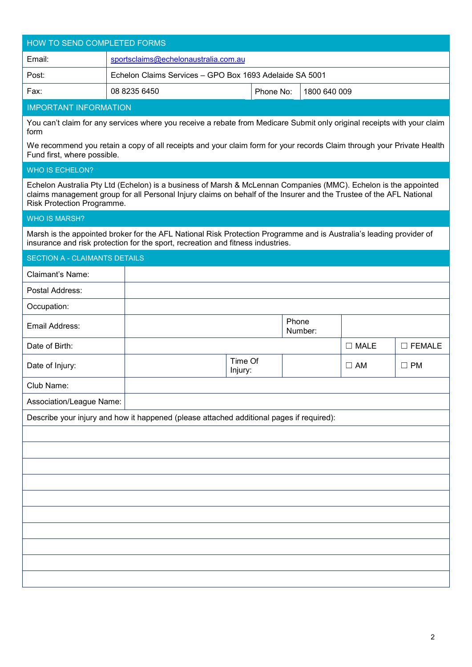| HOW TO SEND COMPLETED FORMS          |                                                                                                                                                                                                                                        |                    |                  |                |                  |
|--------------------------------------|----------------------------------------------------------------------------------------------------------------------------------------------------------------------------------------------------------------------------------------|--------------------|------------------|----------------|------------------|
| Email:                               | sportsclaims@echelonaustralia.com.au                                                                                                                                                                                                   |                    |                  |                |                  |
| Post:                                | Echelon Claims Services - GPO Box 1693 Adelaide SA 5001                                                                                                                                                                                |                    |                  |                |                  |
| Fax:                                 | 08 8235 6450                                                                                                                                                                                                                           | Phone No:          | 1800 640 009     |                |                  |
| <b>IMPORTANT INFORMATION</b>         |                                                                                                                                                                                                                                        |                    |                  |                |                  |
| form                                 | You can't claim for any services where you receive a rebate from Medicare Submit only original receipts with your claim                                                                                                                |                    |                  |                |                  |
| Fund first, where possible.          | We recommend you retain a copy of all receipts and your claim form for your records Claim through your Private Health                                                                                                                  |                    |                  |                |                  |
| <b>WHO IS ECHELON?</b>               |                                                                                                                                                                                                                                        |                    |                  |                |                  |
| Risk Protection Programme.           | Echelon Australia Pty Ltd (Echelon) is a business of Marsh & McLennan Companies (MMC). Echelon is the appointed<br>claims management group for all Personal Injury claims on behalf of the Insurer and the Trustee of the AFL National |                    |                  |                |                  |
| <b>WHO IS MARSH?</b>                 |                                                                                                                                                                                                                                        |                    |                  |                |                  |
|                                      | Marsh is the appointed broker for the AFL National Risk Protection Programme and is Australia's leading provider of<br>insurance and risk protection for the sport, recreation and fitness industries.                                 |                    |                  |                |                  |
| <b>SECTION A - CLAIMANTS DETAILS</b> |                                                                                                                                                                                                                                        |                    |                  |                |                  |
| <b>Claimant's Name:</b>              |                                                                                                                                                                                                                                        |                    |                  |                |                  |
| Postal Address:                      |                                                                                                                                                                                                                                        |                    |                  |                |                  |
| Occupation:                          |                                                                                                                                                                                                                                        |                    |                  |                |                  |
| Email Address:                       |                                                                                                                                                                                                                                        |                    | Phone<br>Number: |                |                  |
| Date of Birth:                       |                                                                                                                                                                                                                                        |                    |                  | $\square$ MALE | $\square$ FEMALE |
| Date of Injury:                      |                                                                                                                                                                                                                                        | Time Of<br>Injury: |                  | $\square$ AM   | $\square$ PM     |
| Club Name:                           |                                                                                                                                                                                                                                        |                    |                  |                |                  |
| Association/League Name:             |                                                                                                                                                                                                                                        |                    |                  |                |                  |
|                                      | Describe your injury and how it happened (please attached additional pages if required):                                                                                                                                               |                    |                  |                |                  |
|                                      |                                                                                                                                                                                                                                        |                    |                  |                |                  |
|                                      |                                                                                                                                                                                                                                        |                    |                  |                |                  |
|                                      |                                                                                                                                                                                                                                        |                    |                  |                |                  |
|                                      |                                                                                                                                                                                                                                        |                    |                  |                |                  |
|                                      |                                                                                                                                                                                                                                        |                    |                  |                |                  |
|                                      |                                                                                                                                                                                                                                        |                    |                  |                |                  |
|                                      |                                                                                                                                                                                                                                        |                    |                  |                |                  |
|                                      |                                                                                                                                                                                                                                        |                    |                  |                |                  |
|                                      |                                                                                                                                                                                                                                        |                    |                  |                |                  |
|                                      |                                                                                                                                                                                                                                        |                    |                  |                |                  |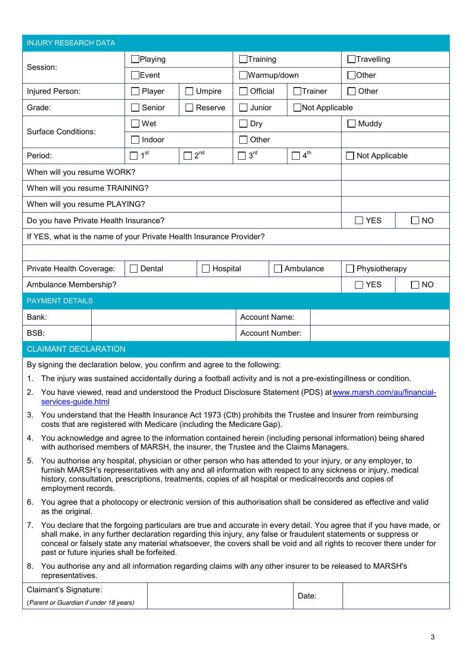| <b>INJURY RESEARCH DATA</b>                                                                                                    |                 |                 |                                                                                     |                 |                        |                                                                                                                                                                                                                                                                                                                                                                 |           |
|--------------------------------------------------------------------------------------------------------------------------------|-----------------|-----------------|-------------------------------------------------------------------------------------|-----------------|------------------------|-----------------------------------------------------------------------------------------------------------------------------------------------------------------------------------------------------------------------------------------------------------------------------------------------------------------------------------------------------------------|-----------|
|                                                                                                                                |                 | $\Box$ Playing  |                                                                                     | $\Box$ Training |                        | $\Box$ Travelling                                                                                                                                                                                                                                                                                                                                               |           |
| Session:                                                                                                                       |                 | $\exists$ Event |                                                                                     | Warmup/down     |                        | $\Box$ Other                                                                                                                                                                                                                                                                                                                                                    |           |
| Injured Person:                                                                                                                |                 | Player          | Umpire                                                                              | Official        | $\Box$ Trainer         | Other                                                                                                                                                                                                                                                                                                                                                           |           |
| Grade:                                                                                                                         |                 | Senior          | Reserve                                                                             | Junior          | Not Applicable         |                                                                                                                                                                                                                                                                                                                                                                 |           |
|                                                                                                                                |                 | Wet             |                                                                                     | Dry             |                        | Muddy                                                                                                                                                                                                                                                                                                                                                           |           |
| <b>Surface Conditions:</b>                                                                                                     |                 | Indoor          |                                                                                     | Other           |                        |                                                                                                                                                                                                                                                                                                                                                                 |           |
| Period:                                                                                                                        | 1 <sup>st</sup> |                 | $2^{nd}$                                                                            | 3 <sup>rd</sup> | $\Box$ 4 <sup>th</sup> | Not Applicable                                                                                                                                                                                                                                                                                                                                                  |           |
| When will you resume WORK?                                                                                                     |                 |                 |                                                                                     |                 |                        |                                                                                                                                                                                                                                                                                                                                                                 |           |
| When will you resume TRAINING?                                                                                                 |                 |                 |                                                                                     |                 |                        |                                                                                                                                                                                                                                                                                                                                                                 |           |
| When will you resume PLAYING?                                                                                                  |                 |                 |                                                                                     |                 |                        |                                                                                                                                                                                                                                                                                                                                                                 |           |
| Do you have Private Health Insurance?                                                                                          |                 |                 |                                                                                     |                 |                        | $\neg$ YES                                                                                                                                                                                                                                                                                                                                                      | $\Box$ No |
| If YES, what is the name of your Private Health Insurance Provider?                                                            |                 |                 |                                                                                     |                 |                        |                                                                                                                                                                                                                                                                                                                                                                 |           |
|                                                                                                                                |                 |                 |                                                                                     |                 |                        |                                                                                                                                                                                                                                                                                                                                                                 |           |
| Private Health Coverage:                                                                                                       |                 | Dental          | Hospital                                                                            |                 | Ambulance              | Physiotherapy                                                                                                                                                                                                                                                                                                                                                   |           |
| Ambulance Membership?                                                                                                          |                 |                 |                                                                                     |                 |                        | $\Box$ YES                                                                                                                                                                                                                                                                                                                                                      | <b>NO</b> |
| <b>PAYMENT DETAILS</b>                                                                                                         |                 |                 |                                                                                     |                 |                        |                                                                                                                                                                                                                                                                                                                                                                 |           |
| Bank:                                                                                                                          |                 |                 |                                                                                     | Account Name:   |                        |                                                                                                                                                                                                                                                                                                                                                                 |           |
| BSB:                                                                                                                           |                 |                 |                                                                                     | Account Number: |                        |                                                                                                                                                                                                                                                                                                                                                                 |           |
| <b>CLAIMANT DECLARATION</b>                                                                                                    |                 |                 |                                                                                     |                 |                        |                                                                                                                                                                                                                                                                                                                                                                 |           |
| By signing the declaration below, you confirm and agree to the following:                                                      |                 |                 |                                                                                     |                 |                        |                                                                                                                                                                                                                                                                                                                                                                 |           |
| 1.                                                                                                                             |                 |                 |                                                                                     |                 |                        | The injury was sustained accidentally during a football activity and is not a pre-existing illness or condition.                                                                                                                                                                                                                                                |           |
| 2.<br>services-guide.html                                                                                                      |                 |                 |                                                                                     |                 |                        | You have viewed, read and understood the Product Disclosure Statement (PDS) at www.marsh.com/au/financial-                                                                                                                                                                                                                                                      |           |
| 3.                                                                                                                             |                 |                 | costs that are registered with Medicare (including the Medicare Gap).               |                 |                        | You understand that the Health Insurance Act 1973 (Cth) prohibits the Trustee and Insurer from reimbursing                                                                                                                                                                                                                                                      |           |
| 4.                                                                                                                             |                 |                 | with authorised members of MARSH, the insurer, the Trustee and the Claims Managers. |                 |                        | You acknowledge and agree to the information contained herein (including personal information) being shared                                                                                                                                                                                                                                                     |           |
| 5.<br>employment records.                                                                                                      |                 |                 |                                                                                     |                 |                        | You authorise any hospital, physician or other person who has attended to your injury, or any employer, to<br>furnish MARSH's representatives with any and all information with respect to any sickness or injury, medical<br>history, consultation, prescriptions, treatments, copies of all hospital or medical records and copies of                         |           |
| 6.<br>as the original.                                                                                                         |                 |                 |                                                                                     |                 |                        | You agree that a photocopy or electronic version of this authorisation shall be considered as effective and valid                                                                                                                                                                                                                                               |           |
| 7.<br>past or future injuries shall be forfeited.                                                                              |                 |                 |                                                                                     |                 |                        | You declare that the forgoing particulars are true and accurate in every detail. You agree that if you have made, or<br>shall make, in any further declaration regarding this injury, any false or fraudulent statements or suppress or<br>conceal or falsely state any material whatsoever, the covers shall be void and all rights to recover there under for |           |
| 8. You authorise any and all information regarding claims with any other insurer to be released to MARSH's<br>representatives. |                 |                 |                                                                                     |                 |                        |                                                                                                                                                                                                                                                                                                                                                                 |           |
| Claimant's Signature:                                                                                                          |                 |                 |                                                                                     |                 | Date:                  |                                                                                                                                                                                                                                                                                                                                                                 |           |
| (Parent or Guardian if under 18 years)                                                                                         |                 |                 |                                                                                     |                 |                        |                                                                                                                                                                                                                                                                                                                                                                 |           |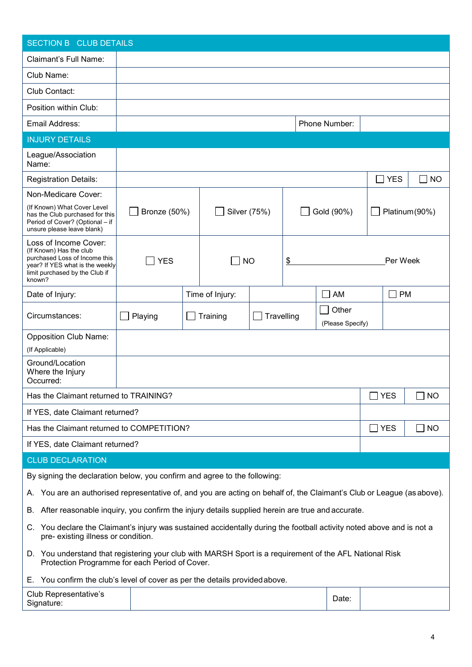| <b>SECTION B CLUB DETAILS</b>                                                                                                                                    |                     |                 |            |                           |        |                     |                |
|------------------------------------------------------------------------------------------------------------------------------------------------------------------|---------------------|-----------------|------------|---------------------------|--------|---------------------|----------------|
| <b>Claimant's Full Name:</b>                                                                                                                                     |                     |                 |            |                           |        |                     |                |
| Club Name:                                                                                                                                                       |                     |                 |            |                           |        |                     |                |
| Club Contact:                                                                                                                                                    |                     |                 |            |                           |        |                     |                |
| Position within Club:                                                                                                                                            |                     |                 |            |                           |        |                     |                |
| Email Address:                                                                                                                                                   |                     |                 |            | Phone Number:             |        |                     |                |
| <b>INJURY DETAILS</b>                                                                                                                                            |                     |                 |            |                           |        |                     |                |
| League/Association<br>Name:                                                                                                                                      |                     |                 |            |                           |        |                     |                |
| <b>Registration Details:</b>                                                                                                                                     |                     |                 |            |                           |        | <b>YES</b>          | <b>NO</b>      |
| Non-Medicare Cover:                                                                                                                                              |                     |                 |            |                           |        |                     |                |
| (If Known) What Cover Level<br>has the Club purchased for this<br>Period of Cover? (Optional - if<br>unsure please leave blank)                                  | <b>Bronze (50%)</b> | Silver (75%)    |            | Gold (90%)                |        |                     | Platinum (90%) |
| Loss of Income Cover:<br>(If Known) Has the club<br>purchased Loss of Income this<br>year? If YES what is the weekly<br>limit purchased by the Club if<br>known? | <b>YES</b>          | <b>NO</b>       | \$         |                           |        | Per Week            |                |
| Date of Injury:                                                                                                                                                  |                     | Time of Injury: |            | $\sqcap$ AM               |        | <b>PM</b><br>$\Box$ |                |
| Circumstances:                                                                                                                                                   | Playing             | Training        | Travelling | Other<br>(Please Specify) |        |                     |                |
| <b>Opposition Club Name:</b>                                                                                                                                     |                     |                 |            |                           |        |                     |                |
| (If Applicable)                                                                                                                                                  |                     |                 |            |                           |        |                     |                |
| Ground/Location<br>Where the Injury<br>Occurred:                                                                                                                 |                     |                 |            |                           |        |                     |                |
| Has the Claimant returned to TRAINING?                                                                                                                           |                     |                 |            |                           |        | <b>YES</b>          | <b>NO</b>      |
| If YES, date Claimant returned?                                                                                                                                  |                     |                 |            |                           |        |                     |                |
| Has the Claimant returned to COMPETITION?                                                                                                                        |                     |                 |            |                           | $\Box$ | <b>YES</b>          | <b>NO</b>      |
| If YES, date Claimant returned?                                                                                                                                  |                     |                 |            |                           |        |                     |                |
| <b>CLUB DECLARATION</b>                                                                                                                                          |                     |                 |            |                           |        |                     |                |
| By signing the declaration below, you confirm and agree to the following:                                                                                        |                     |                 |            |                           |        |                     |                |
| You are an authorised representative of, and you are acting on behalf of, the Claimant's Club or League (as above).<br>А.                                        |                     |                 |            |                           |        |                     |                |
| After reasonable inquiry, you confirm the injury details supplied herein are true and accurate.<br>В.                                                            |                     |                 |            |                           |        |                     |                |
| You declare the Claimant's injury was sustained accidentally during the football activity noted above and is not a<br>C.<br>pre- existing illness or condition.  |                     |                 |            |                           |        |                     |                |
| D. You understand that registering your club with MARSH Sport is a requirement of the AFL National Risk<br>Protection Programme for each Period of Cover.        |                     |                 |            |                           |        |                     |                |
| You confirm the club's level of cover as per the details provided above.<br>Е.,                                                                                  |                     |                 |            |                           |        |                     |                |
| Club Representative's<br>Signature:                                                                                                                              |                     |                 |            | Date:                     |        |                     |                |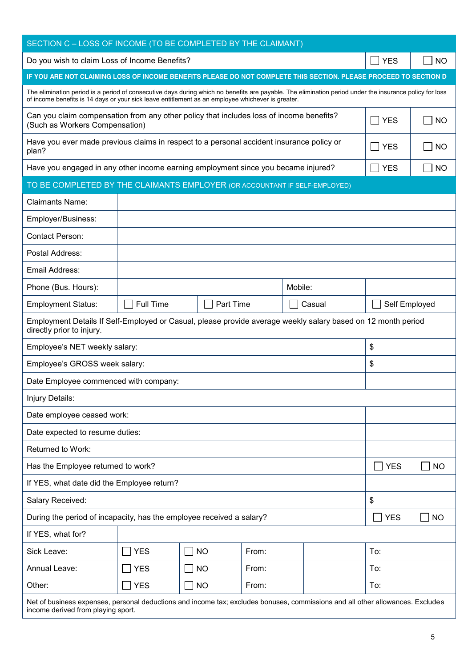| SECTION C - LOSS OF INCOME (TO BE COMPLETED BY THE CLAIMANT)                                                                                                                                                                                                 |                  |           |       |         |                 |           |
|--------------------------------------------------------------------------------------------------------------------------------------------------------------------------------------------------------------------------------------------------------------|------------------|-----------|-------|---------|-----------------|-----------|
| Do you wish to claim Loss of Income Benefits?                                                                                                                                                                                                                |                  |           |       |         | <b>YES</b>      | <b>NO</b> |
| IF YOU ARE NOT CLAIMING LOSS OF INCOME BENEFITS PLEASE DO NOT COMPLETE THIS SECTION. PLEASE PROCEED TO SECTION D                                                                                                                                             |                  |           |       |         |                 |           |
| The elimination period is a period of consecutive days during which no benefits are payable. The elimination period under the insurance policy for loss<br>of income benefits is 14 days or your sick leave entitlement as an employee whichever is greater. |                  |           |       |         |                 |           |
| Can you claim compensation from any other policy that includes loss of income benefits?<br>(Such as Workers Compensation)                                                                                                                                    |                  |           |       |         | $\sqsupset$ YES | <b>NO</b> |
| Have you ever made previous claims in respect to a personal accident insurance policy or<br>plan?                                                                                                                                                            |                  |           |       |         | <b>YES</b>      | <b>NO</b> |
| Have you engaged in any other income earning employment since you became injured?                                                                                                                                                                            |                  |           |       |         | <b>YES</b>      | <b>NO</b> |
| TO BE COMPLETED BY THE CLAIMANTS EMPLOYER (OR ACCOUNTANT IF SELF-EMPLOYED)                                                                                                                                                                                   |                  |           |       |         |                 |           |
| <b>Claimants Name:</b>                                                                                                                                                                                                                                       |                  |           |       |         |                 |           |
| Employer/Business:                                                                                                                                                                                                                                           |                  |           |       |         |                 |           |
| <b>Contact Person:</b>                                                                                                                                                                                                                                       |                  |           |       |         |                 |           |
| Postal Address:                                                                                                                                                                                                                                              |                  |           |       |         |                 |           |
| Email Address:                                                                                                                                                                                                                                               |                  |           |       |         |                 |           |
| Phone (Bus. Hours):                                                                                                                                                                                                                                          |                  |           |       | Mobile: |                 |           |
| <b>Employment Status:</b>                                                                                                                                                                                                                                    | <b>Full Time</b> | Part Time |       | Casual  | Self Employed   |           |
| Employment Details If Self-Employed or Casual, please provide average weekly salary based on 12 month period<br>directly prior to injury.                                                                                                                    |                  |           |       |         |                 |           |
| Employee's NET weekly salary:                                                                                                                                                                                                                                |                  |           |       |         | \$              |           |
| Employee's GROSS week salary:                                                                                                                                                                                                                                |                  |           |       |         | \$              |           |
| Date Employee commenced with company:                                                                                                                                                                                                                        |                  |           |       |         |                 |           |
| Injury Details:                                                                                                                                                                                                                                              |                  |           |       |         |                 |           |
| Date employee ceased work:                                                                                                                                                                                                                                   |                  |           |       |         |                 |           |
| Date expected to resume duties:                                                                                                                                                                                                                              |                  |           |       |         |                 |           |
| Returned to Work:                                                                                                                                                                                                                                            |                  |           |       |         |                 |           |
| Has the Employee returned to work?                                                                                                                                                                                                                           |                  |           |       |         | <b>YES</b>      | <b>NO</b> |
| If YES, what date did the Employee return?                                                                                                                                                                                                                   |                  |           |       |         |                 |           |
| Salary Received:                                                                                                                                                                                                                                             |                  |           |       |         | \$              |           |
| During the period of incapacity, has the employee received a salary?                                                                                                                                                                                         |                  |           |       |         | $\exists$ YES   | <b>NO</b> |
| If YES, what for?                                                                                                                                                                                                                                            |                  |           |       |         |                 |           |
| Sick Leave:                                                                                                                                                                                                                                                  | <b>YES</b>       | <b>NO</b> | From: |         | To:             |           |
| Annual Leave:                                                                                                                                                                                                                                                | <b>YES</b>       | <b>NO</b> | From: |         | To:             |           |
| Other:                                                                                                                                                                                                                                                       | <b>YES</b>       | <b>NO</b> | From: |         | To:             |           |
| Net of business expenses, personal deductions and income tax; excludes bonuses, commissions and all other allowances. Excludes                                                                                                                               |                  |           |       |         |                 |           |

income derived from playing sport.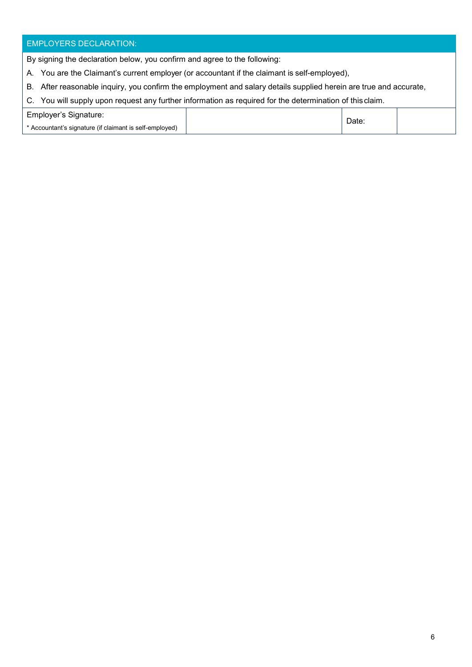## EMPLOYERS DECLARATION:

By signing the declaration below, you confirm and agree to the following:

- A. You are the Claimant's current employer (or accountant if the claimant is self-employed),
- B. After reasonable inquiry, you confirm the employment and salary details supplied herein are true and accurate,
- C. You will supply upon request any further information as required for the determination of this claim.

| Employer's Signature:                                   | Date. |  |
|---------------------------------------------------------|-------|--|
| * Accountant's signature (if claimant is self-employed) |       |  |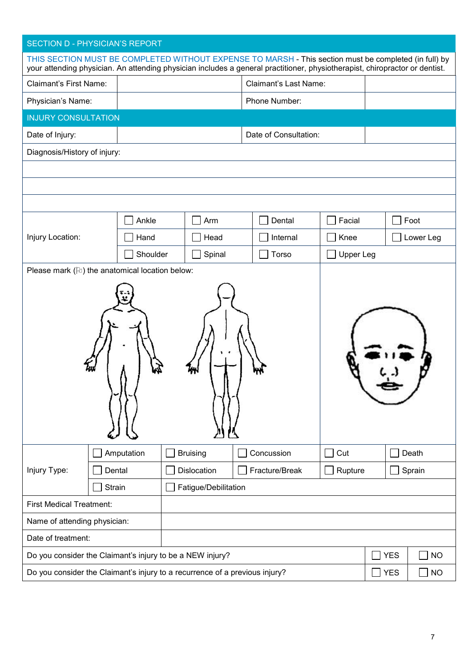## SECTION D - PHYSICIAN'S REPORT

|                                 |                                                                             |                      | THIS SECTION MUST BE COMPLETED WITHOUT EXPENSE TO MARSH - This section must be completed (in full) by<br>your attending physician. An attending physician includes a general practitioner, physiotherapist, chiropractor or dentist. |                  |            |           |
|---------------------------------|-----------------------------------------------------------------------------|----------------------|--------------------------------------------------------------------------------------------------------------------------------------------------------------------------------------------------------------------------------------|------------------|------------|-----------|
| <b>Claimant's First Name:</b>   |                                                                             |                      | <b>Claimant's Last Name:</b>                                                                                                                                                                                                         |                  |            |           |
| Physician's Name:               |                                                                             |                      | Phone Number:                                                                                                                                                                                                                        |                  |            |           |
| <b>INJURY CONSULTATION</b>      |                                                                             |                      |                                                                                                                                                                                                                                      |                  |            |           |
| Date of Injury:                 |                                                                             |                      | Date of Consultation:                                                                                                                                                                                                                |                  |            |           |
| Diagnosis/History of injury:    |                                                                             |                      |                                                                                                                                                                                                                                      |                  |            |           |
|                                 |                                                                             |                      |                                                                                                                                                                                                                                      |                  |            |           |
|                                 |                                                                             |                      |                                                                                                                                                                                                                                      |                  |            |           |
|                                 |                                                                             |                      |                                                                                                                                                                                                                                      |                  |            |           |
|                                 | Ankle                                                                       | Arm                  | Dental                                                                                                                                                                                                                               | Facial           |            | Foot      |
| Injury Location:                | Hand                                                                        | Head                 | Internal                                                                                                                                                                                                                             | Knee             |            | Lower Leg |
|                                 | Shoulder                                                                    | Spinal               | Torso                                                                                                                                                                                                                                | <b>Upper Leg</b> |            |           |
|                                 | Please mark (Fe) the anatomical location below:                             |                      |                                                                                                                                                                                                                                      |                  |            |           |
|                                 |                                                                             |                      |                                                                                                                                                                                                                                      |                  |            |           |
|                                 | Amputation                                                                  | <b>Bruising</b>      | Concussion                                                                                                                                                                                                                           | Cut              |            | Death     |
| Injury Type:                    | Dental                                                                      | Dislocation          | Fracture/Break                                                                                                                                                                                                                       | Rupture          |            | Sprain    |
|                                 | Strain                                                                      | Fatigue/Debilitation |                                                                                                                                                                                                                                      |                  |            |           |
| <b>First Medical Treatment:</b> |                                                                             |                      |                                                                                                                                                                                                                                      |                  |            |           |
| Name of attending physician:    |                                                                             |                      |                                                                                                                                                                                                                                      |                  |            |           |
| Date of treatment:              |                                                                             |                      |                                                                                                                                                                                                                                      |                  |            |           |
|                                 | Do you consider the Claimant's injury to be a NEW injury?                   |                      |                                                                                                                                                                                                                                      |                  | <b>YES</b> | <b>NO</b> |
|                                 | Do you consider the Claimant's injury to a recurrence of a previous injury? |                      |                                                                                                                                                                                                                                      |                  | $\Box$ YES | <b>NO</b> |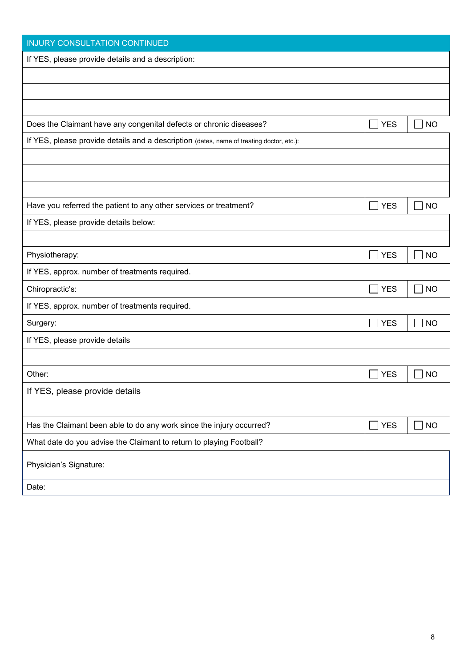| <b>INJURY CONSULTATION CONTINUED</b>                                                     |                            |           |
|------------------------------------------------------------------------------------------|----------------------------|-----------|
| If YES, please provide details and a description:                                        |                            |           |
|                                                                                          |                            |           |
|                                                                                          |                            |           |
|                                                                                          |                            |           |
| Does the Claimant have any congenital defects or chronic diseases?                       | $\Box$ YES                 | <b>NO</b> |
| If YES, please provide details and a description (dates, name of treating doctor, etc.): |                            |           |
|                                                                                          |                            |           |
|                                                                                          |                            |           |
|                                                                                          |                            |           |
| Have you referred the patient to any other services or treatment?                        | $\Box$ YES                 | <b>NO</b> |
| If YES, please provide details below:                                                    |                            |           |
|                                                                                          |                            |           |
| Physiotherapy:                                                                           | <b>YES</b><br>$\mathbf{I}$ | <b>NO</b> |
| If YES, approx. number of treatments required.                                           |                            |           |
| Chiropractic's:                                                                          | <b>YES</b><br>$\sim$ 1     | <b>NO</b> |
| If YES, approx. number of treatments required.                                           |                            |           |
| Surgery:                                                                                 | $\Box$ YES                 | <b>NO</b> |
| If YES, please provide details                                                           |                            |           |
|                                                                                          |                            |           |
| Other:                                                                                   | <b>YES</b><br>$\sim$       | <b>NO</b> |
| If YES, please provide details                                                           |                            |           |
|                                                                                          |                            |           |
| Has the Claimant been able to do any work since the injury occurred?                     | $\Box$ YES                 | <b>NO</b> |
| What date do you advise the Claimant to return to playing Football?                      |                            |           |
| Physician's Signature:                                                                   |                            |           |
| Date:                                                                                    |                            |           |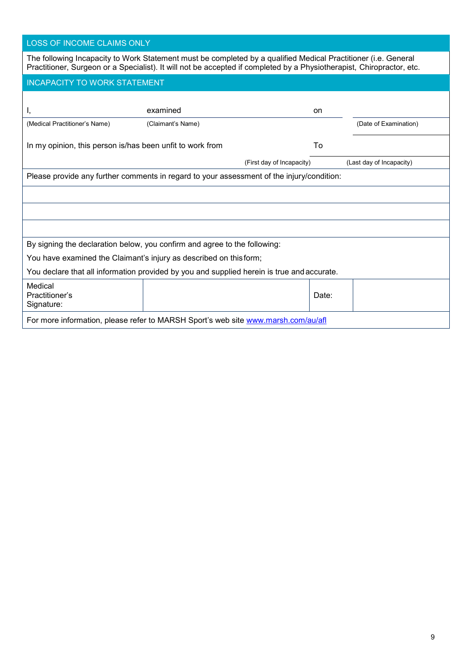| LOSS OF INCOME CLAIMS ONLY |
|----------------------------|
|----------------------------|

| <b>INCAPACITY TO WORK STATEMENT</b>                       |                                                                                            |                           |                          |
|-----------------------------------------------------------|--------------------------------------------------------------------------------------------|---------------------------|--------------------------|
| ι,                                                        | examined                                                                                   | on                        |                          |
| (Medical Practitioner's Name)                             | (Claimant's Name)                                                                          |                           | (Date of Examination)    |
| In my opinion, this person is/has been unfit to work from |                                                                                            | To                        |                          |
|                                                           |                                                                                            | (First day of Incapacity) | (Last day of Incapacity) |
|                                                           |                                                                                            |                           |                          |
|                                                           | Please provide any further comments in regard to your assessment of the injury/condition:  |                           |                          |
|                                                           |                                                                                            |                           |                          |
|                                                           | By signing the declaration below, you confirm and agree to the following:                  |                           |                          |
|                                                           | You have examined the Claimant's injury as described on this form;                         |                           |                          |
|                                                           | You declare that all information provided by you and supplied herein is true and accurate. |                           |                          |